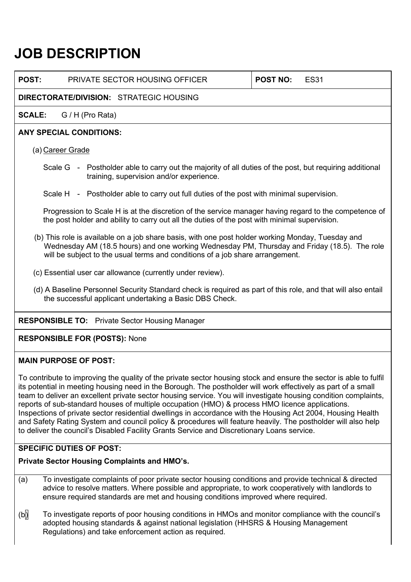# **JOB DESCRIPTION**

**POST:** PRIVATE SECTOR HOUSING OFFICER **POST NO:** ES31

# **DIRECTORATE/DIVISION:** STRATEGIC HOUSING

**SCALE:** G / H (Pro Rata)

## **ANY SPECIAL CONDITIONS:**

## (a) Career Grade

- Scale G Postholder able to carry out the majority of all duties of the post, but requiring additional training, supervision and/or experience.
- Scale H Postholder able to carry out full duties of the post with minimal supervision.

Progression to Scale H is at the discretion of the service manager having regard to the competence of the post holder and ability to carry out all the duties of the post with minimal supervision.

- (b) This role is available on a job share basis, with one post holder working Monday, Tuesday and Wednesday AM (18.5 hours) and one working Wednesday PM, Thursday and Friday (18.5). The role will be subject to the usual terms and conditions of a job share arrangement.
- (c) Essential user car allowance (currently under review).
- (d) A Baseline Personnel Security Standard check is required as part of this role, and that will also entail the successful applicant undertaking a Basic DBS Check.

# **RESPONSIBLE TO:** Private Sector Housing Manager

## **RESPONSIBLE FOR (POSTS):** None

## **MAIN PURPOSE OF POST:**

To contribute to improving the quality of the private sector housing stock and ensure the sector is able to fulfil its potential in meeting housing need in the Borough. The postholder will work effectively as part of a small team to deliver an excellent private sector housing service. You will investigate housing condition complaints, reports of sub-standard houses of multiple occupation (HMO) & process HMO licence applications. Inspections of private sector residential dwellings in accordance with the Housing Act 2004, Housing Health and Safety Rating System and council policy & procedures will feature heavily. The postholder will also help to deliver the council's Disabled Facility Grants Service and Discretionary Loans service.

## **SPECIFIC DUTIES OF POST:**

## **Private Sector Housing Complaints and HMO's.**

- (a) To investigate complaints of poor private sector housing conditions and provide technical & directed advice to resolve matters. Where possible and appropriate, to work cooperatively with landlords to ensure required standards are met and housing conditions improved where required.
- (b) To investigate reports of poor housing conditions in HMOs and monitor compliance with the council's adopted housing standards & against national legislation (HHSRS & Housing Management Regulations) and take enforcement action as required.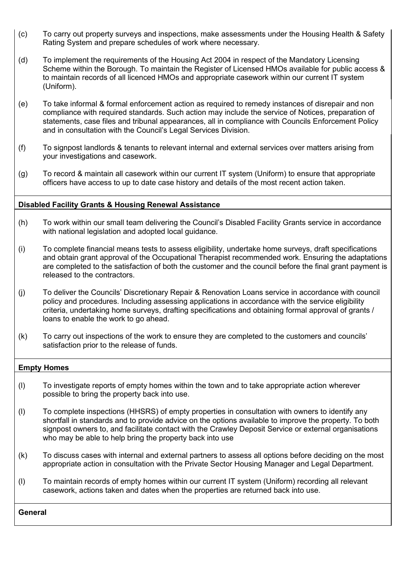- (c) To carry out property surveys and inspections, make assessments under the Housing Health & Safety Rating System and prepare schedules of work where necessary.
- (d) To implement the requirements of the Housing Act 2004 in respect of the Mandatory Licensing Scheme within the Borough. To maintain the Register of Licensed HMOs available for public access & to maintain records of all licenced HMOs and appropriate casework within our current IT system (Uniform).
- (e) To take informal & formal enforcement action as required to remedy instances of disrepair and non compliance with required standards. Such action may include the service of Notices, preparation of statements, case files and tribunal appearances, all in compliance with Councils Enforcement Policy and in consultation with the Council's Legal Services Division.
- (f) To signpost landlords & tenants to relevant internal and external services over matters arising from your investigations and casework.
- (g) To record & maintain all casework within our current IT system (Uniform) to ensure that appropriate officers have access to up to date case history and details of the most recent action taken.

#### **Disabled Facility Grants & Housing Renewal Assistance**

- (h) To work within our small team delivering the Council's Disabled Facility Grants service in accordance with national legislation and adopted local guidance.
- (i) To complete financial means tests to assess eligibility, undertake home surveys, draft specifications and obtain grant approval of the Occupational Therapist recommended work. Ensuring the adaptations are completed to the satisfaction of both the customer and the council before the final grant payment is released to the contractors.
- (j) To deliver the Councils' Discretionary Repair & Renovation Loans service in accordance with council policy and procedures. Including assessing applications in accordance with the service eligibility criteria, undertaking home surveys, drafting specifications and obtaining formal approval of grants / loans to enable the work to go ahead.
- (k) To carry out inspections of the work to ensure they are completed to the customers and councils' satisfaction prior to the release of funds.

#### **Empty Homes**

- (l) To investigate reports of empty homes within the town and to take appropriate action wherever possible to bring the property back into use.
- (l) To complete inspections (HHSRS) of empty properties in consultation with owners to identify any shortfall in standards and to provide advice on the options available to improve the property. To both signpost owners to, and facilitate contact with the Crawley Deposit Service or external organisations who may be able to help bring the property back into use
- (k) To discuss cases with internal and external partners to assess all options before deciding on the most appropriate action in consultation with the Private Sector Housing Manager and Legal Department.
- (l) To maintain records of empty homes within our current IT system (Uniform) recording all relevant casework, actions taken and dates when the properties are returned back into use.

**General**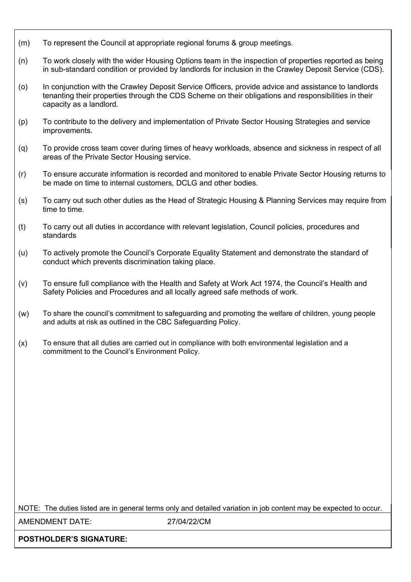- (m) To represent the Council at appropriate regional forums & group meetings.
- (n) To work closely with the wider Housing Options team in the inspection of properties reported as being in sub-standard condition or provided by landlords for inclusion in the Crawley Deposit Service (CDS).
- (o) In conjunction with the Crawley Deposit Service Officers, provide advice and assistance to landlords tenanting their properties through the CDS Scheme on their obligations and responsibilities in their capacity as a landlord.
- (p) To contribute to the delivery and implementation of Private Sector Housing Strategies and service improvements.
- (q) To provide cross team cover during times of heavy workloads, absence and sickness in respect of all areas of the Private Sector Housing service.
- (r) To ensure accurate information is recorded and monitored to enable Private Sector Housing returns to be made on time to internal customers, DCLG and other bodies.
- (s) To carry out such other duties as the Head of Strategic Housing & Planning Services may require from time to time.
- (t) To carry out all duties in accordance with relevant legislation, Council policies, procedures and standards
- (u) To actively promote the Council's Corporate Equality Statement and demonstrate the standard of conduct which prevents discrimination taking place.
- (v) To ensure full compliance with the Health and Safety at Work Act 1974, the Council's Health and Safety Policies and Procedures and all locally agreed safe methods of work.
- (w) To share the council's commitment to safeguarding and promoting the welfare of children, young people and adults at risk as outlined in the CBC Safeguarding Policy.
- (x) To ensure that all duties are carried out in compliance with both environmental legislation and a commitment to the Council's Environment Policy.

NOTE: The duties listed are in general terms only and detailed variation in job content may be expected to occur.

AMENDMENT DATE: 27/04/22/CM

**POSTHOLDER'S SIGNATURE:**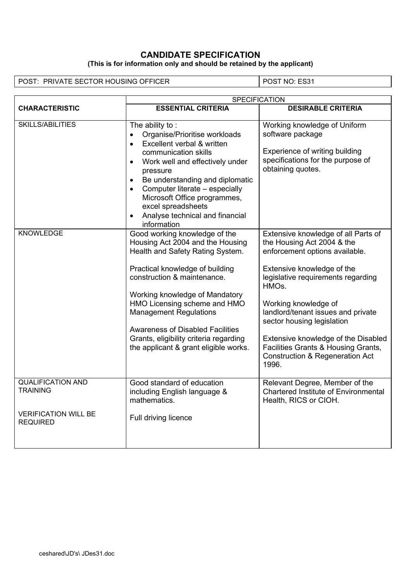### **CANDIDATE SPECIFICATION (This is for information only and should be retained by the applicant)**

POST: PRIVATE SECTOR HOUSING OFFICER POST NO: ES31

|                                                | SPECIFICATION                                                                                                                                                                                                                                                                                                                                                                                            |                                                                                                                                                                                                                                                                                                                                                                                                                              |  |
|------------------------------------------------|----------------------------------------------------------------------------------------------------------------------------------------------------------------------------------------------------------------------------------------------------------------------------------------------------------------------------------------------------------------------------------------------------------|------------------------------------------------------------------------------------------------------------------------------------------------------------------------------------------------------------------------------------------------------------------------------------------------------------------------------------------------------------------------------------------------------------------------------|--|
| <b>CHARACTERISTIC</b>                          | <b>ESSENTIAL CRITERIA</b>                                                                                                                                                                                                                                                                                                                                                                                | <b>DESIRABLE CRITERIA</b>                                                                                                                                                                                                                                                                                                                                                                                                    |  |
| SKILLS/ABILITIES                               | The ability to:<br>Organise/Prioritise workloads<br>Excellent verbal & written<br>communication skills<br>Work well and effectively under<br>pressure<br>Be understanding and diplomatic<br>Computer literate - especially<br>$\bullet$<br>Microsoft Office programmes,<br>excel spreadsheets<br>Analyse technical and financial<br>information                                                          | Working knowledge of Uniform<br>software package<br>Experience of writing building<br>specifications for the purpose of<br>obtaining quotes.                                                                                                                                                                                                                                                                                 |  |
| <b>KNOWLEDGE</b>                               | Good working knowledge of the<br>Housing Act 2004 and the Housing<br>Health and Safety Rating System.<br>Practical knowledge of building<br>construction & maintenance.<br>Working knowledge of Mandatory<br>HMO Licensing scheme and HMO<br><b>Management Regulations</b><br><b>Awareness of Disabled Facilities</b><br>Grants, eligibility criteria regarding<br>the applicant & grant eligible works. | Extensive knowledge of all Parts of<br>the Housing Act 2004 & the<br>enforcement options available.<br>Extensive knowledge of the<br>legislative requirements regarding<br>HMO <sub>s</sub><br>Working knowledge of<br>landlord/tenant issues and private<br>sector housing legislation<br>Extensive knowledge of the Disabled<br>Facilities Grants & Housing Grants,<br><b>Construction &amp; Regeneration Act</b><br>1996. |  |
| <b>QUALIFICATION AND</b><br><b>TRAINING</b>    | Good standard of education<br>including English language &<br>mathematics.                                                                                                                                                                                                                                                                                                                               | Relevant Degree, Member of the<br><b>Chartered Institute of Environmental</b><br>Health, RICS or CIOH.                                                                                                                                                                                                                                                                                                                       |  |
| <b>VERIFICATION WILL BE</b><br><b>REQUIRED</b> | Full driving licence                                                                                                                                                                                                                                                                                                                                                                                     |                                                                                                                                                                                                                                                                                                                                                                                                                              |  |